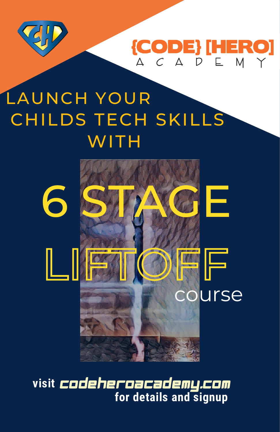

**{CODE} [HERO]** A C A D E M Y

# LAUNCH YOUR CHILDS TECH SKILLS **WITH**



**visit for details and signup** codeheroacademy.com